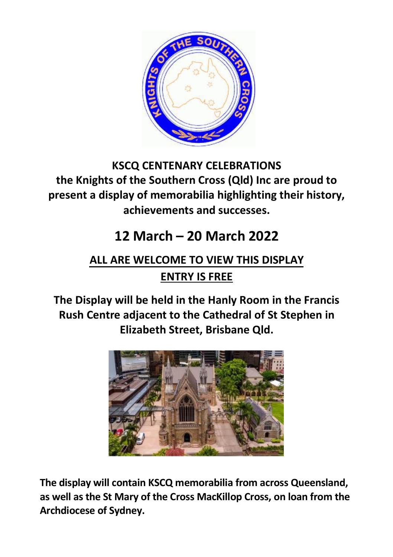

## **KSCQ CENTENARY CELEBRATIONS the Knights of the Southern Cross (Qld) Inc are proud to present a display of memorabilia highlighting their history, achievements and successes.**

## **12 March – 20 March 2022**

## **ALL ARE WELCOME TO VIEW THIS DISPLAY ENTRY IS FREE**

**The Display will be held in the Hanly Room in the Francis Rush Centre adjacent to the Cathedral of St Stephen in Elizabeth Street, Brisbane Qld.**



**The display will contain KSCQ memorabilia from across Queensland, as well as the St Mary of the Cross MacKillop Cross, on loan from the Archdiocese of Sydney.**